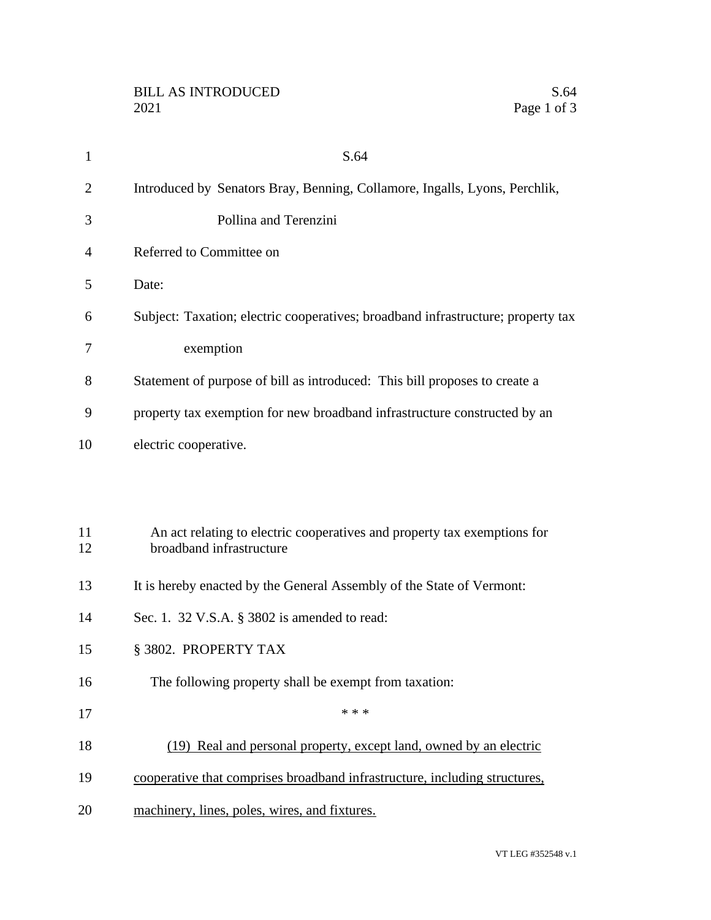| 1              | S.64                                                                                                 |
|----------------|------------------------------------------------------------------------------------------------------|
| $\overline{2}$ | Introduced by Senators Bray, Benning, Collamore, Ingalls, Lyons, Perchlik,                           |
| 3              | Pollina and Terenzini                                                                                |
| 4              | Referred to Committee on                                                                             |
| 5              | Date:                                                                                                |
| 6              | Subject: Taxation; electric cooperatives; broadband infrastructure; property tax                     |
| 7              | exemption                                                                                            |
| 8              | Statement of purpose of bill as introduced: This bill proposes to create a                           |
| 9              | property tax exemption for new broadband infrastructure constructed by an                            |
| 10             | electric cooperative.                                                                                |
|                |                                                                                                      |
|                |                                                                                                      |
| 11<br>12       | An act relating to electric cooperatives and property tax exemptions for<br>broadband infrastructure |
| 13             | It is hereby enacted by the General Assembly of the State of Vermont:                                |
| 14             | Sec. 1. 32 V.S.A. § 3802 is amended to read:                                                         |
| 15             | § 3802. PROPERTY TAX                                                                                 |
| 16             | The following property shall be exempt from taxation:                                                |
| 17             | * * *                                                                                                |
| 18             | (19) Real and personal property, except land, owned by an electric                                   |
| 19             | cooperative that comprises broadband infrastructure, including structures,                           |
| 20             | machinery, lines, poles, wires, and fixtures.                                                        |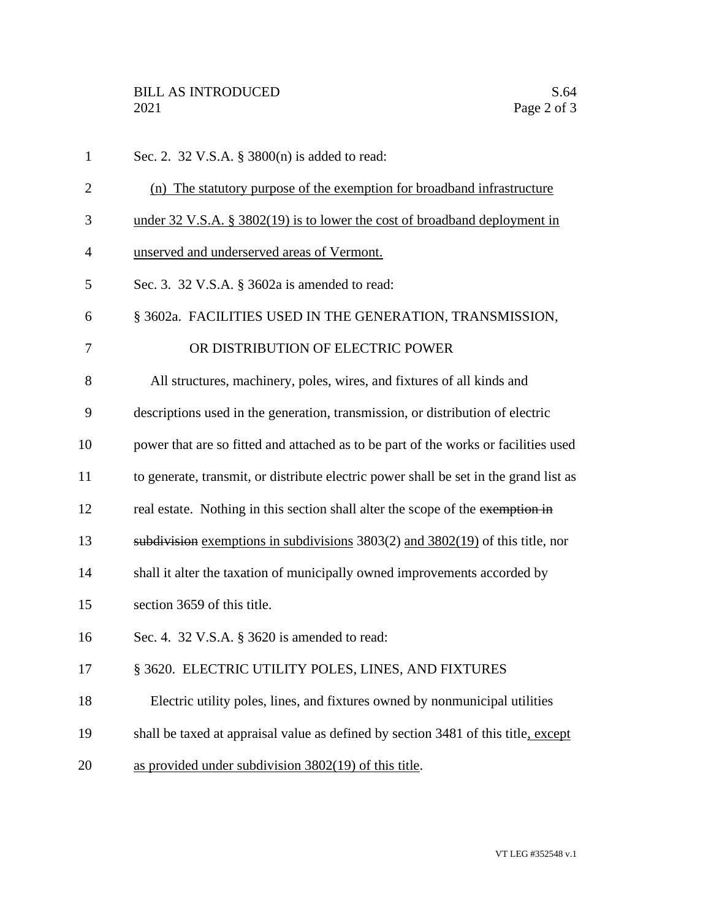Sec. 2. 32 V.S.A. § 3800(n) is added to read: (n) The statutory purpose of the exemption for broadband infrastructure under 32 V.S.A. § 3802(19) is to lower the cost of broadband deployment in unserved and underserved areas of Vermont. Sec. 3. 32 V.S.A. § 3602a is amended to read: § 3602a. FACILITIES USED IN THE GENERATION, TRANSMISSION, 7 OR DISTRIBUTION OF ELECTRIC POWER All structures, machinery, poles, wires, and fixtures of all kinds and descriptions used in the generation, transmission, or distribution of electric power that are so fitted and attached as to be part of the works or facilities used to generate, transmit, or distribute electric power shall be set in the grand list as 12 real estate. Nothing in this section shall alter the scope of the exemption in subdivision exemptions in subdivisions 3803(2) and 3802(19) of this title, nor shall it alter the taxation of municipally owned improvements accorded by section 3659 of this title. Sec. 4. 32 V.S.A. § 3620 is amended to read: 17 § 3620. ELECTRIC UTILITY POLES, LINES, AND FIXTURES Electric utility poles, lines, and fixtures owned by nonmunicipal utilities 19 shall be taxed at appraisal value as defined by section 3481 of this title, except as provided under subdivision 3802(19) of this title.